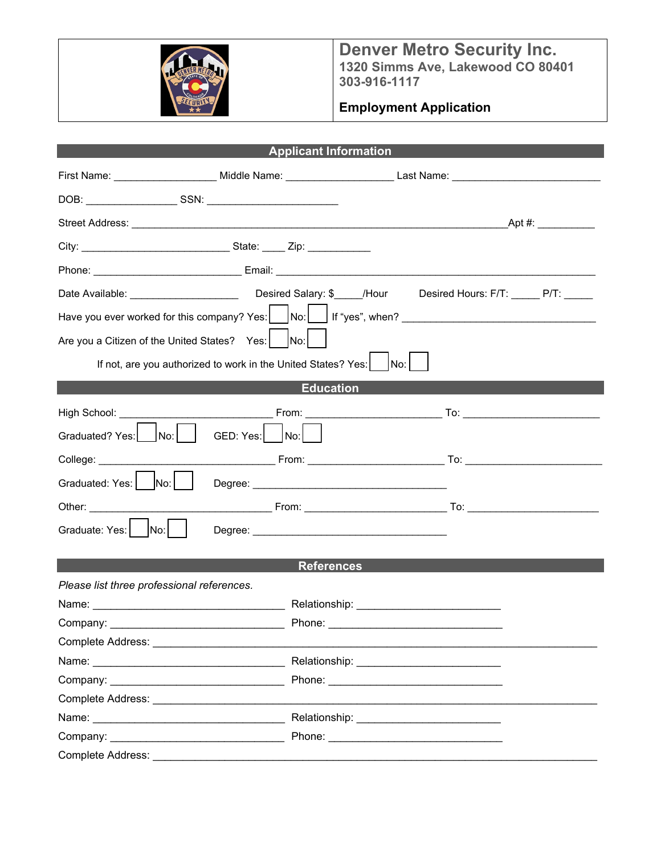

**Denver Metro Security Inc. 1320 Simms Ave, Lakewood CO 80401 303-916-1117**

## **Employment Application**

| <b>Applicant Information</b>                                                                                   |               |                                                                                                                 |  |  |  |
|----------------------------------------------------------------------------------------------------------------|---------------|-----------------------------------------------------------------------------------------------------------------|--|--|--|
|                                                                                                                |               |                                                                                                                 |  |  |  |
|                                                                                                                |               |                                                                                                                 |  |  |  |
|                                                                                                                |               |                                                                                                                 |  |  |  |
|                                                                                                                |               |                                                                                                                 |  |  |  |
|                                                                                                                |               |                                                                                                                 |  |  |  |
|                                                                                                                |               | Date Available: _____________________________Desired Salary: \$_____/Hour Desired Hours: F/T: ______ P/T: _____ |  |  |  |
| Have you ever worked for this company? Yes: No: Solid Strips", when? Solid Life was under the vertex of the st |               |                                                                                                                 |  |  |  |
| $N$ o:<br>Are you a Citizen of the United States? Yes:                                                         |               |                                                                                                                 |  |  |  |
| If not, are you authorized to work in the United States? Yes:     No:                                          |               |                                                                                                                 |  |  |  |
| <b>Education</b>                                                                                               |               |                                                                                                                 |  |  |  |
|                                                                                                                |               |                                                                                                                 |  |  |  |
| Graduated? Yes:     No:                                                                                        | GED: Yes: No: |                                                                                                                 |  |  |  |
| College: _________                                                                                             |               |                                                                                                                 |  |  |  |
| Graduated: Yes:     No:                                                                                        |               |                                                                                                                 |  |  |  |
|                                                                                                                |               |                                                                                                                 |  |  |  |
| Graduate: Yes:   No:                                                                                           |               |                                                                                                                 |  |  |  |
|                                                                                                                |               |                                                                                                                 |  |  |  |
| <b>References</b>                                                                                              |               |                                                                                                                 |  |  |  |
| Please list three professional references.                                                                     |               |                                                                                                                 |  |  |  |
| Name: Name:                                                                                                    |               | Relationship: Network and the second state of the second state of the second state of the second state of the   |  |  |  |
|                                                                                                                | Phone:        |                                                                                                                 |  |  |  |
|                                                                                                                |               |                                                                                                                 |  |  |  |
|                                                                                                                |               |                                                                                                                 |  |  |  |
|                                                                                                                |               |                                                                                                                 |  |  |  |
|                                                                                                                |               |                                                                                                                 |  |  |  |
|                                                                                                                |               | Relationship: William President President Press, 2014                                                           |  |  |  |
|                                                                                                                |               |                                                                                                                 |  |  |  |
|                                                                                                                |               |                                                                                                                 |  |  |  |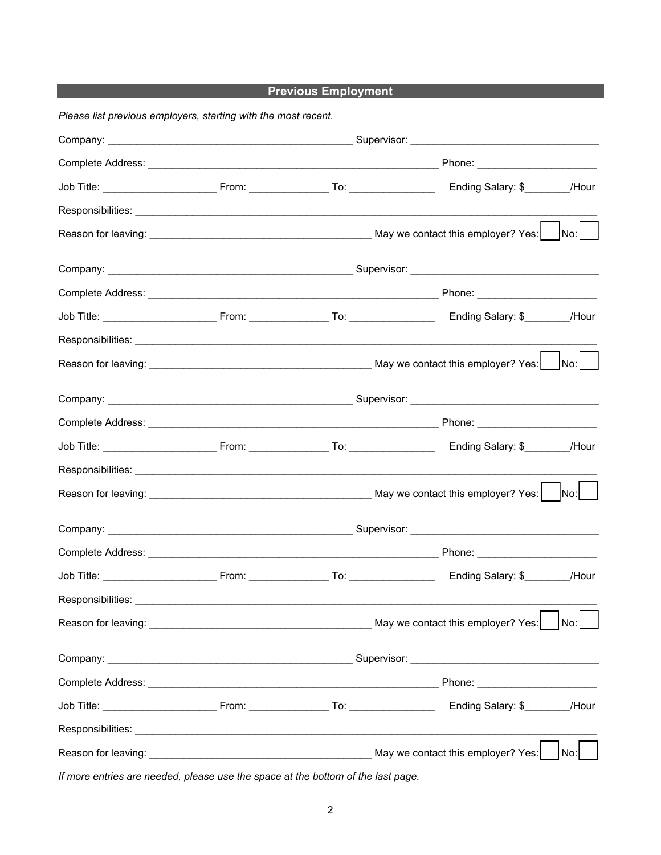**Previous Employment Previous Employment** 

| Please list previous employers, starting with the most recent. |                                                                                                                      |                     |                                |                     |  |
|----------------------------------------------------------------|----------------------------------------------------------------------------------------------------------------------|---------------------|--------------------------------|---------------------|--|
|                                                                |                                                                                                                      |                     |                                |                     |  |
|                                                                |                                                                                                                      |                     |                                |                     |  |
|                                                                |                                                                                                                      |                     |                                |                     |  |
|                                                                |                                                                                                                      |                     |                                |                     |  |
|                                                                |                                                                                                                      |                     |                                | $\vert$ No: $\vert$ |  |
|                                                                |                                                                                                                      |                     |                                |                     |  |
|                                                                |                                                                                                                      |                     |                                |                     |  |
|                                                                |                                                                                                                      |                     |                                |                     |  |
|                                                                |                                                                                                                      |                     |                                |                     |  |
|                                                                |                                                                                                                      |                     |                                |                     |  |
|                                                                |                                                                                                                      |                     |                                |                     |  |
|                                                                |                                                                                                                      |                     |                                |                     |  |
|                                                                |                                                                                                                      |                     |                                |                     |  |
|                                                                |                                                                                                                      |                     |                                |                     |  |
|                                                                |                                                                                                                      | $\vert$ No: $\vert$ |                                |                     |  |
|                                                                |                                                                                                                      |                     |                                |                     |  |
|                                                                |                                                                                                                      |                     |                                |                     |  |
|                                                                |                                                                                                                      |                     |                                |                     |  |
| Responsibilities:                                              | <u> 2000 - 2000 - 2000 - 2000 - 2000 - 2000 - 2000 - 2000 - 2000 - 2000 - 2000 - 2000 - 2000 - 2000 - 2000 - 200</u> |                     |                                |                     |  |
|                                                                |                                                                                                                      |                     |                                | No:                 |  |
|                                                                |                                                                                                                      |                     |                                |                     |  |
|                                                                |                                                                                                                      |                     |                                |                     |  |
|                                                                |                                                                                                                      |                     | Ending Salary: \$________/Hour |                     |  |
|                                                                |                                                                                                                      |                     |                                |                     |  |
|                                                                |                                                                                                                      |                     |                                | No:                 |  |
|                                                                |                                                                                                                      |                     |                                |                     |  |

*If more entries are needed, please use the space at the bottom of the last page.*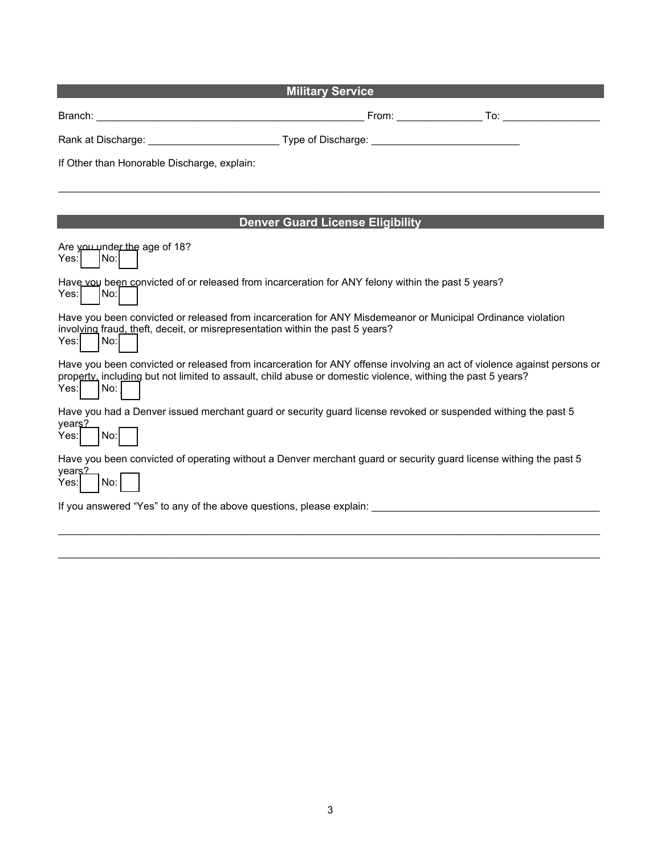| <b>Military Service</b>                                                                                                                                                                                                                                |                                         |  |  |  |  |
|--------------------------------------------------------------------------------------------------------------------------------------------------------------------------------------------------------------------------------------------------------|-----------------------------------------|--|--|--|--|
| Branch:                                                                                                                                                                                                                                                |                                         |  |  |  |  |
| Rank at Discharge: _______________________________Type of Discharge: ____________                                                                                                                                                                      |                                         |  |  |  |  |
| If Other than Honorable Discharge, explain:                                                                                                                                                                                                            |                                         |  |  |  |  |
|                                                                                                                                                                                                                                                        |                                         |  |  |  |  |
|                                                                                                                                                                                                                                                        | <b>Denver Guard License Eligibility</b> |  |  |  |  |
| Are you under the age of 18?<br>Yes:<br> No:                                                                                                                                                                                                           |                                         |  |  |  |  |
| Have you been convicted of or released from incarceration for ANY felony within the past 5 years?<br> No: <br>Yes:                                                                                                                                     |                                         |  |  |  |  |
| Have you been convicted or released from incarceration for ANY Misdemeanor or Municipal Ordinance violation<br>involving fraud, theft, deceit, or misrepresentation within the past 5 years?<br> No: <br>Yes:                                          |                                         |  |  |  |  |
| Have you been convicted or released from incarceration for ANY offense involving an act of violence against persons or<br>property, including but not limited to assault, child abuse or domestic violence, withing the past 5 years?<br> No:<br>Yes:I |                                         |  |  |  |  |
| Have you had a Denver issued merchant guard or security guard license revoked or suspended withing the past 5<br>vears?<br>$N$ o:<br>Yes:I                                                                                                             |                                         |  |  |  |  |
| Have you been convicted of operating without a Denver merchant guard or security guard license withing the past 5<br>years <sup>2</sup><br>$N$ o:<br>Yes:                                                                                              |                                         |  |  |  |  |
| If you answered "Yes" to any of the above questions, please explain:                                                                                                                                                                                   |                                         |  |  |  |  |

\_\_\_\_\_\_\_\_\_\_\_\_\_\_\_\_\_\_\_\_\_\_\_\_\_\_\_\_\_\_\_\_\_\_\_\_\_\_\_\_\_\_\_\_\_\_\_\_\_\_\_\_\_\_\_\_\_\_\_\_\_\_\_\_\_\_\_\_\_\_\_\_\_\_\_\_\_\_\_\_\_\_\_\_\_\_\_\_\_\_\_\_\_\_\_